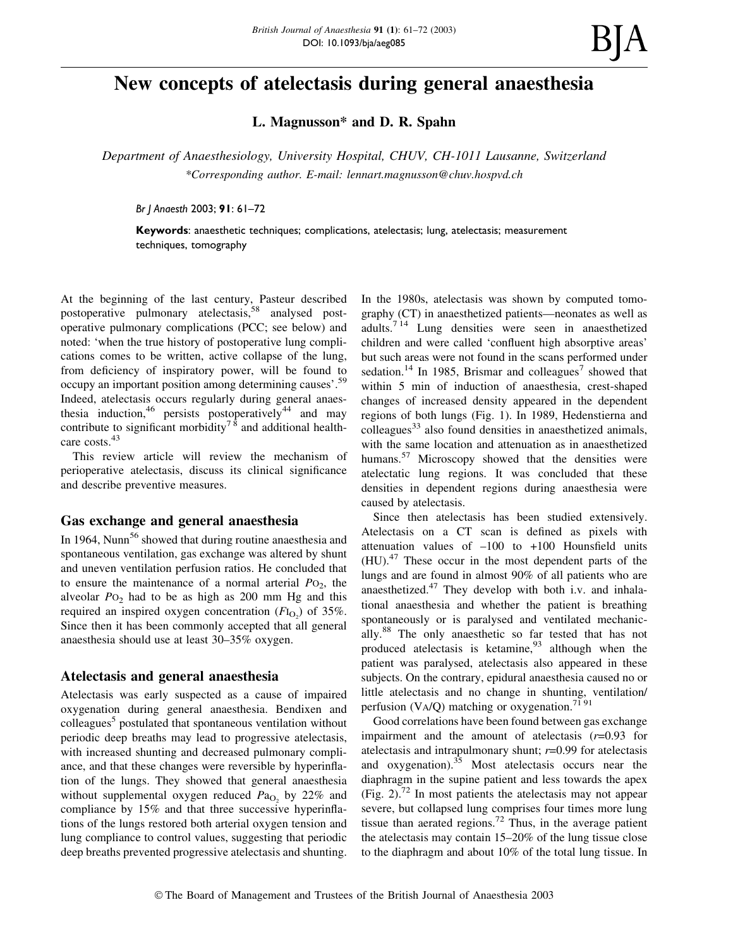# New concepts of atelectasis during general anaesthesia

L. Magnusson\* and D. R. Spahn

Department of Anaesthesiology, University Hospital, CHUV, CH-1011 Lausanne, Switzerland \*Corresponding author. E-mail: lennart.magnusson@chuv.hospvd.ch

Br J Anaesth 2003; 91: 61-72

Keywords: anaesthetic techniques; complications, atelectasis; lung, atelectasis; measurement techniques, tomography

At the beginning of the last century, Pasteur described postoperative pulmonary atelectasis,<sup>58</sup> analysed postoperative pulmonary complications (PCC; see below) and noted: `when the true history of postoperative lung complications comes to be written, active collapse of the lung, from deficiency of inspiratory power, will be found to occupy an important position among determining causes'.<sup>59</sup> Indeed, atelectasis occurs regularly during general anaesthesia induction, <sup>46</sup> persists postoperatively<sup>44</sup> and may contribute to significant morbidity<sup>78</sup> and additional healthcare costs.<sup>43</sup>

This review article will review the mechanism of perioperative atelectasis, discuss its clinical significance and describe preventive measures.

## Gas exchange and general anaesthesia

In 1964, Nunn<sup>56</sup> showed that during routine anaesthesia and spontaneous ventilation, gas exchange was altered by shunt and uneven ventilation perfusion ratios. He concluded that to ensure the maintenance of a normal arterial  $PO<sub>2</sub>$ , the alveolar  $PO_2$  had to be as high as 200 mm Hg and this required an inspired oxygen concentration  $(FI_{O_2})$  of 35%. Since then it has been commonly accepted that all general anaesthesia should use at least 30–35% oxygen.

## Atelectasis and general anaesthesia

Atelectasis was early suspected as a cause of impaired oxygenation during general anaesthesia. Bendixen and colleagues<sup>5</sup> postulated that spontaneous ventilation without periodic deep breaths may lead to progressive atelectasis, with increased shunting and decreased pulmonary compliance, and that these changes were reversible by hyperinflation of the lungs. They showed that general anaesthesia without supplemental oxygen reduced  $Pa<sub>O<sub>2</sub></sub>$  by 22% and compliance by 15% and that three successive hyperinflations of the lungs restored both arterial oxygen tension and lung compliance to control values, suggesting that periodic deep breaths prevented progressive atelectasis and shunting.

In the 1980s, atelectasis was shown by computed tomography (CT) in anaesthetized patients—neonates as well as adults.7 14 Lung densities were seen in anaesthetized children and were called 'confluent high absorptive areas' but such areas were not found in the scans performed under sedation.<sup>14</sup> In 1985, Brismar and colleagues<sup>7</sup> showed that within 5 min of induction of anaesthesia, crest-shaped changes of increased density appeared in the dependent regions of both lungs (Fig. 1). In 1989, Hedenstierna and colleagues $^{33}$  also found densities in anaesthetized animals, with the same location and attenuation as in anaesthetized humans.<sup>57</sup> Microscopy showed that the densities were atelectatic lung regions. It was concluded that these densities in dependent regions during anaesthesia were caused by atelectasis.

Since then atelectasis has been studied extensively. Atelectasis on a CT scan is defined as pixels with attenuation values of  $-100$  to  $+100$  Hounsfield units (HU).<sup>47</sup> These occur in the most dependent parts of the lungs and are found in almost 90% of all patients who are anaesthetized.<sup>47</sup> They develop with both i.v. and inhalational anaesthesia and whether the patient is breathing spontaneously or is paralysed and ventilated mechanically.<sup>88</sup> The only anaesthetic so far tested that has not produced atelectasis is ketamine,  $93$  although when the patient was paralysed, atelectasis also appeared in these subjects. On the contrary, epidural anaesthesia caused no or little atelectasis and no change in shunting, ventilation/ perfusion (VA/Q) matching or oxygenation.<sup>71 91</sup>

Good correlations have been found between gas exchange impairment and the amount of atelectasis  $(r=0.93$  for atelectasis and intrapulmonary shunt;  $r=0.99$  for atelectasis and  $oxygenation$ .<sup>35</sup> Most atelectasis occurs near the diaphragm in the supine patient and less towards the apex (Fig. 2).<sup>72</sup> In most patients the atelectasis may not appear severe, but collapsed lung comprises four times more lung tissue than aerated regions.<sup>72</sup> Thus, in the average patient the atelectasis may contain  $15-20\%$  of the lung tissue close to the diaphragm and about 10% of the total lung tissue. In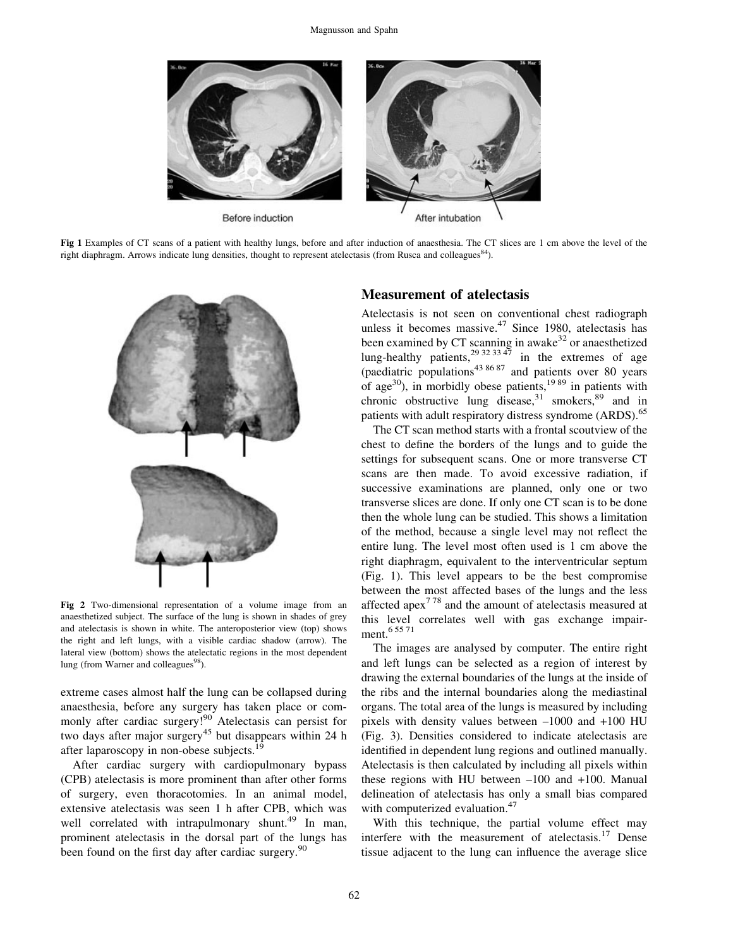

Fig 1 Examples of CT scans of a patient with healthy lungs, before and after induction of anaesthesia. The CT slices are 1 cm above the level of the right diaphragm. Arrows indicate lung densities, thought to represent atelectasis (from Rusca and colleagues<sup>84</sup>).



Fig 2 Two-dimensional representation of a volume image from an anaesthetized subject. The surface of the lung is shown in shades of grey and atelectasis is shown in white. The anteroposterior view (top) shows the right and left lungs, with a visible cardiac shadow (arrow). The lateral view (bottom) shows the atelectatic regions in the most dependent lung (from Warner and colleagues<sup>98</sup>).

extreme cases almost half the lung can be collapsed during anaesthesia, before any surgery has taken place or commonly after cardiac surgery!<sup>90</sup> Atelectasis can persist for two days after major surgery<sup>45</sup> but disappears within 24 h after laparoscopy in non-obese subjects.<sup>19</sup>

After cardiac surgery with cardiopulmonary bypass (CPB) atelectasis is more prominent than after other forms of surgery, even thoracotomies. In an animal model, extensive atelectasis was seen 1 h after CPB, which was well correlated with intrapulmonary shunt.<sup>49</sup> In man, prominent atelectasis in the dorsal part of the lungs has been found on the first day after cardiac surgery.<sup>90</sup>

## Measurement of atelectasis

Atelectasis is not seen on conventional chest radiograph unless it becomes massive.<sup>47</sup> Since 1980, atelectasis has been examined by CT scanning in awake<sup>32</sup> or anaesthetized lung-healthy patients,  $29^{32}$  33  $47$  in the extremes of age (paediatric populations<sup>43 86 87</sup> and patients over 80 years of age<sup>30</sup>), in morbidly obese patients,<sup>19 89</sup> in patients with chronic obstructive lung disease,<sup>31</sup> smokers,<sup>89</sup> and in patients with adult respiratory distress syndrome (ARDS).<sup>65</sup>

The CT scan method starts with a frontal scoutview of the chest to define the borders of the lungs and to guide the settings for subsequent scans. One or more transverse CT scans are then made. To avoid excessive radiation, if successive examinations are planned, only one or two transverse slices are done. If only one CT scan is to be done then the whole lung can be studied. This shows a limitation of the method, because a single level may not reflect the entire lung. The level most often used is 1 cm above the right diaphragm, equivalent to the interventricular septum (Fig. 1). This level appears to be the best compromise between the most affected bases of the lungs and the less affected apex<sup>778</sup> and the amount of atelectasis measured at this level correlates well with gas exchange impairment.<sup>6 55 71</sup>

The images are analysed by computer. The entire right and left lungs can be selected as a region of interest by drawing the external boundaries of the lungs at the inside of the ribs and the internal boundaries along the mediastinal organs. The total area of the lungs is measured by including pixels with density values between  $-1000$  and  $+100$  HU (Fig. 3). Densities considered to indicate atelectasis are identified in dependent lung regions and outlined manually. Atelectasis is then calculated by including all pixels within these regions with HU between  $-100$  and  $+100$ . Manual delineation of atelectasis has only a small bias compared with computerized evaluation.<sup>47</sup>

With this technique, the partial volume effect may interfere with the measurement of atelectasis. $17$  Dense tissue adjacent to the lung can influence the average slice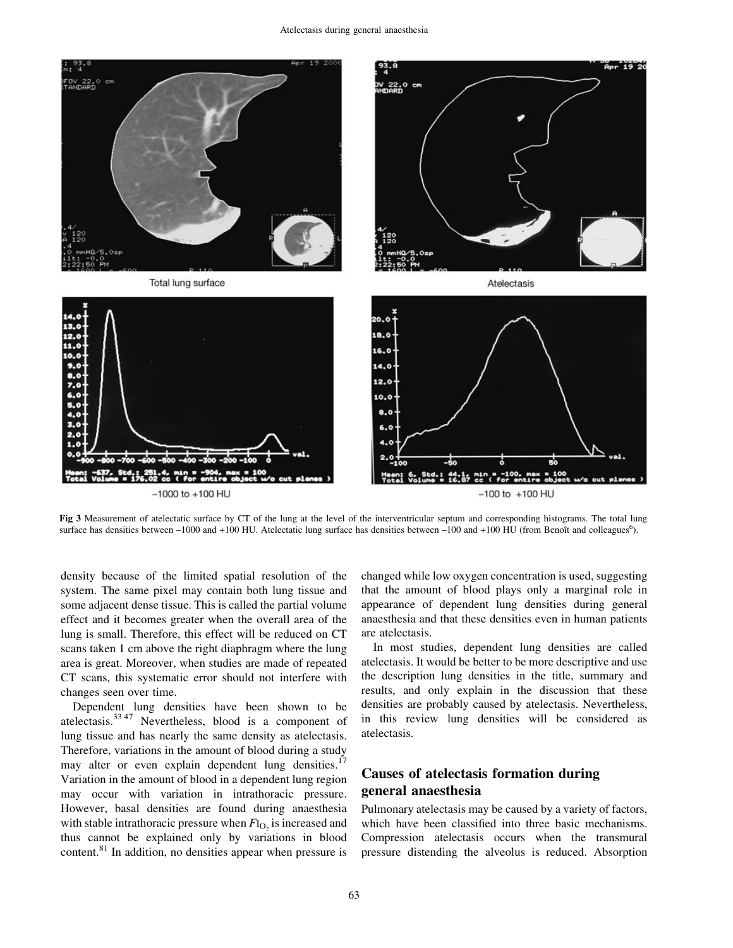

Fig 3 Measurement of atelectatic surface by CT of the lung at the level of the interventricular septum and corresponding histograms. The total lung surface has densities between -1000 and +100 HU. Atelectatic lung surface has densities between -100 and +100 HU (from Benoît and colleagues<sup>6</sup>).

density because of the limited spatial resolution of the system. The same pixel may contain both lung tissue and some adjacent dense tissue. This is called the partial volume effect and it becomes greater when the overall area of the lung is small. Therefore, this effect will be reduced on CT scans taken 1 cm above the right diaphragm where the lung area is great. Moreover, when studies are made of repeated CT scans, this systematic error should not interfere with changes seen over time.

Dependent lung densities have been shown to be atelectasis.<sup>33,47</sup> Nevertheless, blood is a component of lung tissue and has nearly the same density as atelectasis. Therefore, variations in the amount of blood during a study may alter or even explain dependent lung densities. $17$ Variation in the amount of blood in a dependent lung region may occur with variation in intrathoracic pressure. However, basal densities are found during anaesthesia with stable intrathoracic pressure when  $F_{\text{I}_\text{O}_2}$  is increased and thus cannot be explained only by variations in blood content.<sup>81</sup> In addition, no densities appear when pressure is changed while low oxygen concentration is used, suggesting that the amount of blood plays only a marginal role in appearance of dependent lung densities during general anaesthesia and that these densities even in human patients are atelectasis.

In most studies, dependent lung densities are called atelectasis. It would be better to be more descriptive and use the description lung densities in the title, summary and results, and only explain in the discussion that these densities are probably caused by atelectasis. Nevertheless, in this review lung densities will be considered as atelectasis.

## Causes of atelectasis formation during general anaesthesia

Pulmonary atelectasis may be caused by a variety of factors, which have been classified into three basic mechanisms. Compression atelectasis occurs when the transmural pressure distending the alveolus is reduced. Absorption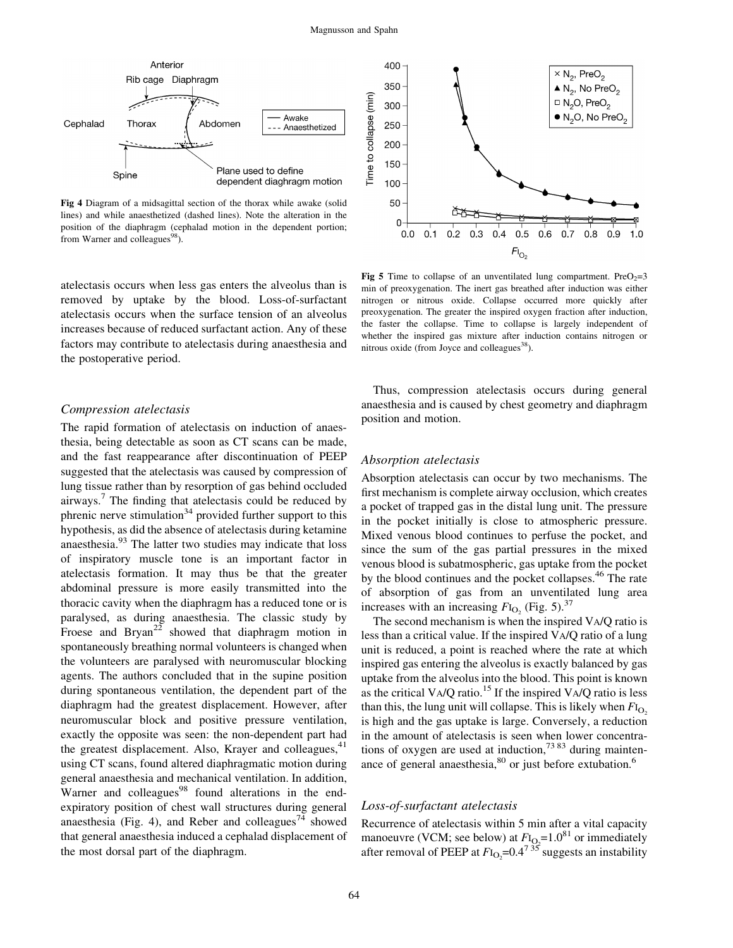

Fig 4 Diagram of a midsagittal section of the thorax while awake (solid lines) and while anaesthetized (dashed lines). Note the alteration in the position of the diaphragm (cephalad motion in the dependent portion; from Warner and colleagues<sup>98</sup>).

atelectasis occurs when less gas enters the alveolus than is removed by uptake by the blood. Loss-of-surfactant atelectasis occurs when the surface tension of an alveolus increases because of reduced surfactant action. Any of these factors may contribute to atelectasis during anaesthesia and the postoperative period.

#### Compression atelectasis

The rapid formation of atelectasis on induction of anaesthesia, being detectable as soon as CT scans can be made, and the fast reappearance after discontinuation of PEEP suggested that the atelectasis was caused by compression of lung tissue rather than by resorption of gas behind occluded airways.<sup>7</sup> The finding that atelectasis could be reduced by phrenic nerve stimulation<sup>34</sup> provided further support to this hypothesis, as did the absence of atelectasis during ketamine anaesthesia.<sup>93</sup> The latter two studies may indicate that loss of inspiratory muscle tone is an important factor in atelectasis formation. It may thus be that the greater abdominal pressure is more easily transmitted into the thoracic cavity when the diaphragm has a reduced tone or is paralysed, as during anaesthesia. The classic study by Froese and Bryan<sup>22</sup> showed that diaphragm motion in spontaneously breathing normal volunteers is changed when the volunteers are paralysed with neuromuscular blocking agents. The authors concluded that in the supine position during spontaneous ventilation, the dependent part of the diaphragm had the greatest displacement. However, after neuromuscular block and positive pressure ventilation, exactly the opposite was seen: the non-dependent part had the greatest displacement. Also, Krayer and colleagues, $41$ using CT scans, found altered diaphragmatic motion during general anaesthesia and mechanical ventilation. In addition, Warner and colleagues<sup>98</sup> found alterations in the endexpiratory position of chest wall structures during general anaesthesia (Fig. 4), and Reber and colleagues<sup>74</sup> showed that general anaesthesia induced a cephalad displacement of the most dorsal part of the diaphragm.



Fig 5 Time to collapse of an unventilated lung compartment. Pre $O_2=3$ min of preoxygenation. The inert gas breathed after induction was either nitrogen or nitrous oxide. Collapse occurred more quickly after preoxygenation. The greater the inspired oxygen fraction after induction, the faster the collapse. Time to collapse is largely independent of whether the inspired gas mixture after induction contains nitrogen or nitrous oxide (from Joyce and colleagues $^{38}$ ).

Thus, compression atelectasis occurs during general anaesthesia and is caused by chest geometry and diaphragm position and motion.

#### Absorption atelectasis

Absorption atelectasis can occur by two mechanisms. The first mechanism is complete airway occlusion, which creates a pocket of trapped gas in the distal lung unit. The pressure in the pocket initially is close to atmospheric pressure. Mixed venous blood continues to perfuse the pocket, and since the sum of the gas partial pressures in the mixed venous blood is subatmospheric, gas uptake from the pocket by the blood continues and the pocket collapses.<sup>46</sup> The rate of absorption of gas from an unventilated lung area increases with an increasing  $F_{\text{IQ}_2}$  (Fig. 5).<sup>37</sup>

The second mechanism is when the inspired VA/Q ratio is less than a critical value. If the inspired VA/Q ratio of a lung unit is reduced, a point is reached where the rate at which inspired gas entering the alveolus is exactly balanced by gas uptake from the alveolus into the blood. This point is known as the critical  $VA/Q$  ratio.<sup>15</sup> If the inspired  $VA/Q$  ratio is less than this, the lung unit will collapse. This is likely when  $F_{\text{I}_\text{O}_2}$ is high and the gas uptake is large. Conversely, a reduction in the amount of atelectasis is seen when lower concentrations of oxygen are used at induction,  $7383$  during maintenance of general anaesthesia,<sup>80</sup> or just before extubation.<sup>6</sup>

## Loss-of-surfactant atelectasis

Recurrence of atelectasis within 5 min after a vital capacity manoeuvre (VCM; see below) at  $F_{\text{IQ}} = 1.0^{81}$  or immediately after removal of PEEP at  $F_{\text{I}_\text{O}_2}$ =0.4<sup>735</sup> suggests an instability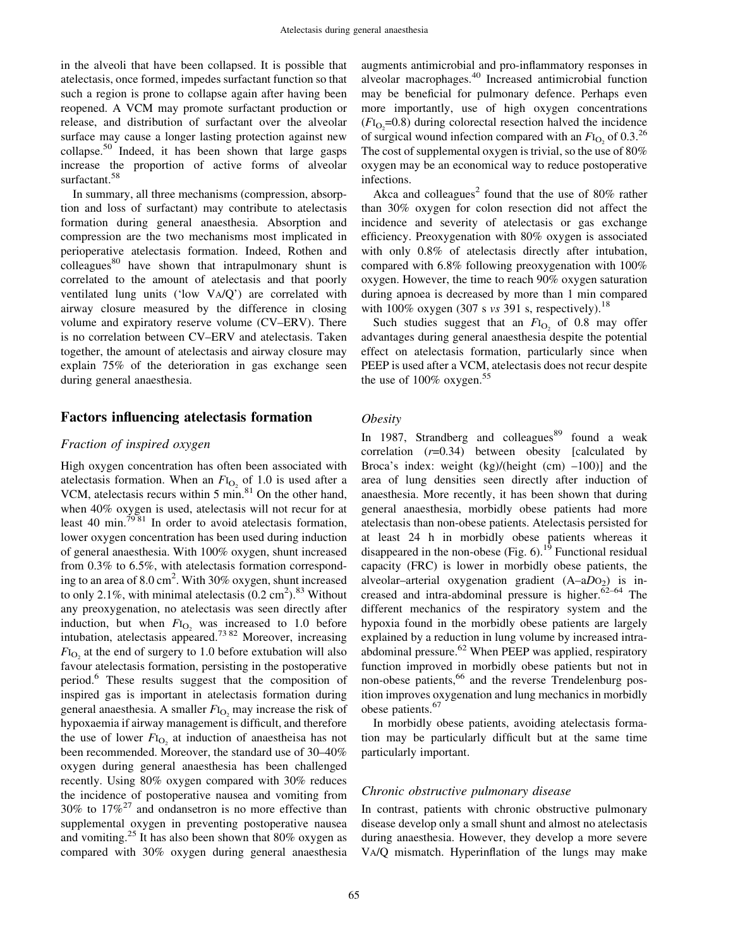in the alveoli that have been collapsed. It is possible that atelectasis, once formed, impedes surfactant function so that such a region is prone to collapse again after having been reopened. A VCM may promote surfactant production or release, and distribution of surfactant over the alveolar surface may cause a longer lasting protection against new collapse.<sup>50</sup> Indeed, it has been shown that large gasps increase the proportion of active forms of alveolar surfactant.<sup>58</sup>

In summary, all three mechanisms (compression, absorption and loss of surfactant) may contribute to atelectasis formation during general anaesthesia. Absorption and compression are the two mechanisms most implicated in perioperative atelectasis formation. Indeed, Rothen and  $\text{colle}$ eagues $^{80}$  have shown that intrapulmonary shunt is correlated to the amount of atelectasis and that poorly ventilated lung units (`low VA/Q') are correlated with airway closure measured by the difference in closing volume and expiratory reserve volume (CV-ERV). There is no correlation between CV-ERV and atelectasis. Taken together, the amount of atelectasis and airway closure may explain 75% of the deterioration in gas exchange seen during general anaesthesia.

## Factors influencing atelectasis formation

#### Fraction of inspired oxygen

High oxygen concentration has often been associated with atelectasis formation. When an  $F_{\text{I}_\text{O}_2}$  of 1.0 is used after a VCM, atelectasis recurs within 5 min. $81$  On the other hand, when 40% oxygen is used, atelectasis will not recur for at least 40 min.<sup>7981</sup> In order to avoid atelectasis formation, lower oxygen concentration has been used during induction of general anaesthesia. With 100% oxygen, shunt increased from 0.3% to 6.5%, with atelectasis formation corresponding to an area of 8.0 cm<sup>2</sup>. With 30% oxygen, shunt increased to only 2.1%, with minimal atelectasis  $(0.2 \text{ cm}^2)$ .<sup>83</sup> Without any preoxygenation, no atelectasis was seen directly after induction, but when  $F_{I_{O_2}}$  was increased to 1.0 before intubation, atelectasis appeared.<sup>73 82</sup> Moreover, increasing  $F_{\text{Io}_2}$  at the end of surgery to 1.0 before extubation will also favour atelectasis formation, persisting in the postoperative period.<sup>6</sup> These results suggest that the composition of inspired gas is important in atelectasis formation during general anaesthesia. A smaller  $F_{\text{I}_\text{O}2}$  may increase the risk of hypoxaemia if airway management is difficult, and therefore the use of lower  $F_{\text{I}_\text{O}_2}$  at induction of anaestheisa has not been recommended. Moreover, the standard use of 30-40% oxygen during general anaesthesia has been challenged recently. Using 80% oxygen compared with 30% reduces the incidence of postoperative nausea and vomiting from 30% to  $17\%^{27}$  and ondansetron is no more effective than supplemental oxygen in preventing postoperative nausea and vomiting.<sup>25</sup> It has also been shown that 80% oxygen as compared with 30% oxygen during general anaesthesia

augments antimicrobial and pro-inflammatory responses in alveolar macrophages.<sup>40</sup> Increased antimicrobial function may be beneficial for pulmonary defence. Perhaps even more importantly, use of high oxygen concentrations  $(FI_{\text{O}_2} = 0.8)$  during colorectal resection halved the incidence of surgical wound infection compared with an  $F_{\text{I}_\text{O}$  of 0.3.<sup>26</sup> The cost of supplemental oxygen is trivial, so the use of 80% oxygen may be an economical way to reduce postoperative infections.

Akca and colleagues<sup>2</sup> found that the use of 80% rather than 30% oxygen for colon resection did not affect the incidence and severity of atelectasis or gas exchange efficiency. Preoxygenation with 80% oxygen is associated with only 0.8% of atelectasis directly after intubation, compared with 6.8% following preoxygenation with 100% oxygen. However, the time to reach 90% oxygen saturation during apnoea is decreased by more than 1 min compared with 100% oxygen (307 s vs 391 s, respectively).<sup>18</sup>

Such studies suggest that an  $F_{1<sub>O</sub>}$  of 0.8 may offer advantages during general anaesthesia despite the potential effect on atelectasis formation, particularly since when PEEP is used after a VCM, atelectasis does not recur despite the use of  $100\%$  oxygen.<sup>55</sup>

#### **Obesity**

In 1987, Strandberg and colleagues<sup>89</sup> found a weak correlation  $(r=0.34)$  between obesity [calculated by Broca's index: weight  $(kg)/(height (cm) -100)$ ] and the area of lung densities seen directly after induction of anaesthesia. More recently, it has been shown that during general anaesthesia, morbidly obese patients had more atelectasis than non-obese patients. Atelectasis persisted for at least 24 h in morbidly obese patients whereas it disappeared in the non-obese  $(Fig. 6)$ .<sup>19</sup> Functional residual capacity (FRC) is lower in morbidly obese patients, the alveolar-arterial oxygenation gradient  $(A-aD_0)$  is increased and intra-abdominal pressure is higher. $62-64$  The different mechanics of the respiratory system and the hypoxia found in the morbidly obese patients are largely explained by a reduction in lung volume by increased intraabdominal pressure.<sup>62</sup> When PEEP was applied, respiratory function improved in morbidly obese patients but not in non-obese patients,<sup>66</sup> and the reverse Trendelenburg position improves oxygenation and lung mechanics in morbidly obese patients.<sup>67</sup>

In morbidly obese patients, avoiding atelectasis formation may be particularly difficult but at the same time particularly important.

#### Chronic obstructive pulmonary disease

In contrast, patients with chronic obstructive pulmonary disease develop only a small shunt and almost no atelectasis during anaesthesia. However, they develop a more severe VA/Q mismatch. Hyperinflation of the lungs may make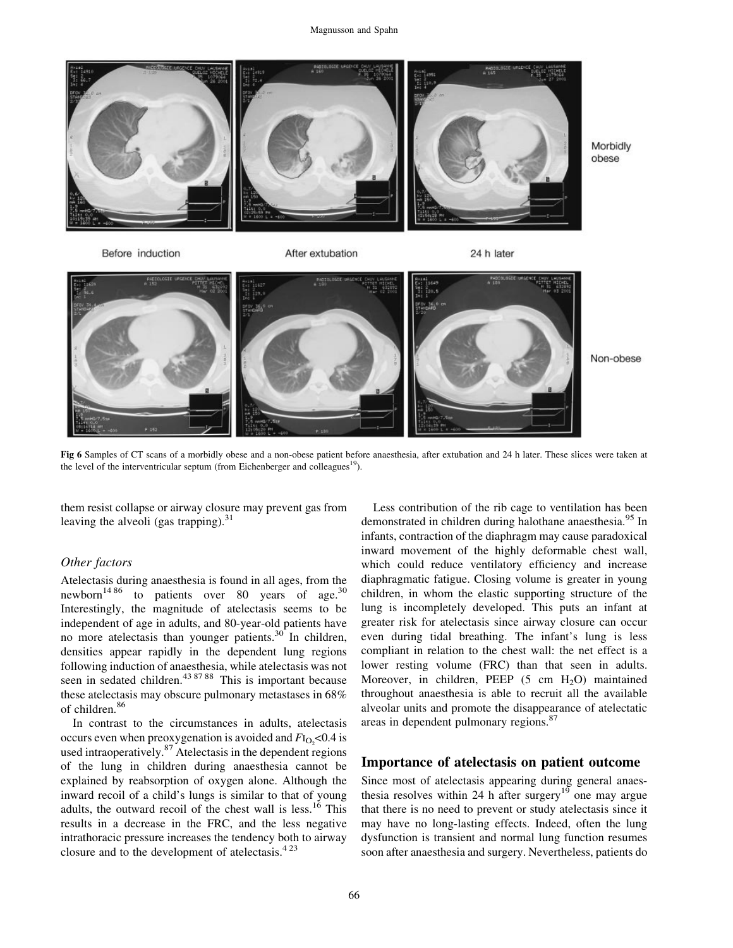

Morbidly obese

Before induction

After extubation





Non-obese

Fig 6 Samples of CT scans of a morbidly obese and a non-obese patient before anaesthesia, after extubation and 24 h later. These slices were taken at the level of the interventricular septum (from Eichenberger and colleagues<sup>19</sup>).

them resist collapse or airway closure may prevent gas from leaving the alveoli (gas trapping).  $31$ 

#### Other factors

Atelectasis during anaesthesia is found in all ages, from the newborn<sup>14 86</sup> to patients over 80 years of age.<sup>30</sup> Interestingly, the magnitude of atelectasis seems to be independent of age in adults, and 80-year-old patients have no more atelectasis than younger patients.<sup>30</sup> In children, densities appear rapidly in the dependent lung regions following induction of anaesthesia, while atelectasis was not seen in sedated children.<sup>43 87 88</sup> This is important because these atelectasis may obscure pulmonary metastases in 68% of children.<sup>86</sup>

In contrast to the circumstances in adults, atelectasis occurs even when preoxygenation is avoided and  $FI_{\text{O}_2}$  < 0.4 is used intraoperatively. $87$  Atelectasis in the dependent regions of the lung in children during anaesthesia cannot be explained by reabsorption of oxygen alone. Although the inward recoil of a child's lungs is similar to that of young adults, the outward recoil of the chest wall is less.<sup>16</sup> This results in a decrease in the FRC, and the less negative intrathoracic pressure increases the tendency both to airway closure and to the development of atelectasis. $4^{23}$ 

Less contribution of the rib cage to ventilation has been demonstrated in children during halothane anaesthesia.<sup>95</sup> In infants, contraction of the diaphragm may cause paradoxical inward movement of the highly deformable chest wall, which could reduce ventilatory efficiency and increase diaphragmatic fatigue. Closing volume is greater in young children, in whom the elastic supporting structure of the lung is incompletely developed. This puts an infant at greater risk for atelectasis since airway closure can occur even during tidal breathing. The infant's lung is less compliant in relation to the chest wall: the net effect is a lower resting volume (FRC) than that seen in adults. Moreover, in children, PEEP  $(5 \text{ cm } H_2O)$  maintained throughout anaesthesia is able to recruit all the available alveolar units and promote the disappearance of atelectatic areas in dependent pulmonary regions.<sup>87</sup>

## Importance of atelectasis on patient outcome

Since most of atelectasis appearing during general anaesthesia resolves within 24 h after surgery<sup>19</sup> one may argue that there is no need to prevent or study atelectasis since it may have no long-lasting effects. Indeed, often the lung dysfunction is transient and normal lung function resumes soon after anaesthesia and surgery. Nevertheless, patients do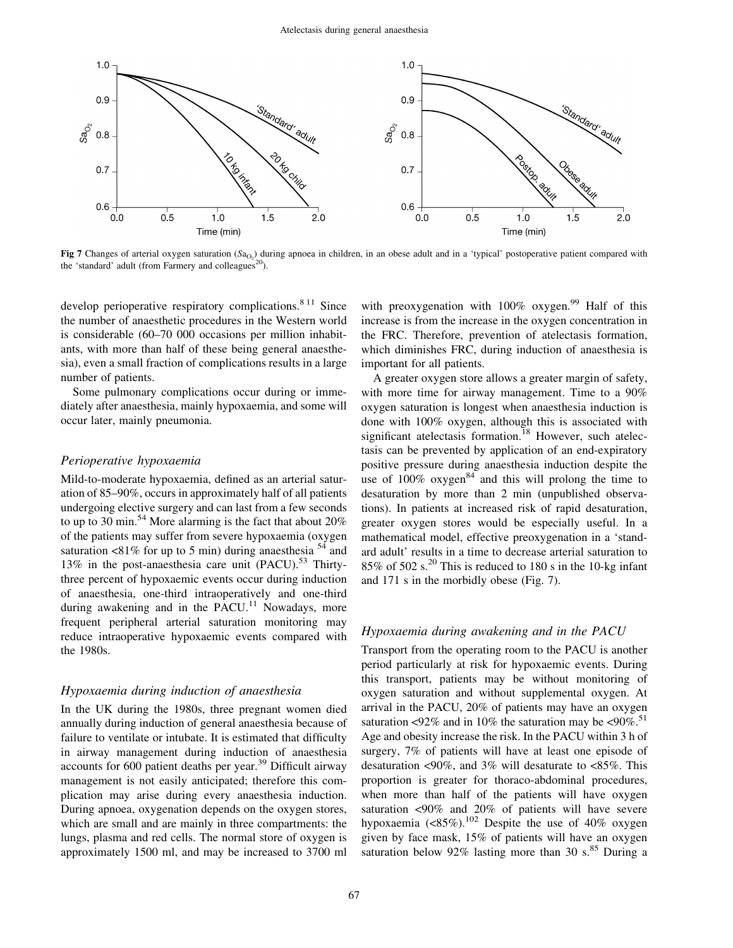

**Fig 7** Changes of arterial oxygen saturation  $(S_{0<sub>2</sub>})$  during apnoea in children, in an obese adult and in a 'typical' postoperative patient compared with the 'standard' adult (from Farmery and colleagues<sup>20</sup>).

develop perioperative respiratory complications.<sup>8 11</sup> Since the number of anaesthetic procedures in the Western world is considerable (60-70 000 occasions per million inhabitants, with more than half of these being general anaesthesia), even a small fraction of complications results in a large number of patients.

Some pulmonary complications occur during or immediately after anaesthesia, mainly hypoxaemia, and some will occur later, mainly pneumonia.

#### Perioperative hypoxaemia

Mild-to-moderate hypoxaemia, defined as an arterial saturation of 85–90%, occurs in approximately half of all patients undergoing elective surgery and can last from a few seconds to up to 30 min.<sup>54</sup> More alarming is the fact that about  $20\%$ of the patients may suffer from severe hypoxaemia (oxygen saturation <81% for up to 5 min) during anaesthesia  $^{54}$  and 13% in the post-anaesthesia care unit  $(PACU)$ .<sup>53</sup> Thirtythree percent of hypoxaemic events occur during induction of anaesthesia, one-third intraoperatively and one-third during awakening and in the PACU.<sup>11</sup> Nowadays, more frequent peripheral arterial saturation monitoring may reduce intraoperative hypoxaemic events compared with the 1980s.

#### Hypoxaemia during induction of anaesthesia

In the UK during the 1980s, three pregnant women died annually during induction of general anaesthesia because of failure to ventilate or intubate. It is estimated that difficulty in airway management during induction of anaesthesia accounts for  $600$  patient deaths per year.<sup>39</sup> Difficult airway management is not easily anticipated; therefore this complication may arise during every anaesthesia induction. During apnoea, oxygenation depends on the oxygen stores, which are small and are mainly in three compartments: the lungs, plasma and red cells. The normal store of oxygen is approximately 1500 ml, and may be increased to 3700 ml

with preoxygenation with  $100\%$  oxygen.<sup>99</sup> Half of this increase is from the increase in the oxygen concentration in the FRC. Therefore, prevention of atelectasis formation, which diminishes FRC, during induction of anaesthesia is important for all patients.

A greater oxygen store allows a greater margin of safety, with more time for airway management. Time to a 90% oxygen saturation is longest when anaesthesia induction is done with 100% oxygen, although this is associated with significant atelectasis formation.<sup>18</sup> However, such atelectasis can be prevented by application of an end-expiratory positive pressure during anaesthesia induction despite the use of  $100\%$  oxygen<sup>84</sup> and this will prolong the time to desaturation by more than 2 min (unpublished observations). In patients at increased risk of rapid desaturation, greater oxygen stores would be especially useful. In a mathematical model, effective preoxygenation in a 'standard adult' results in a time to decrease arterial saturation to  $85\%$  of  $502$  s.<sup>20</sup> This is reduced to 180 s in the 10-kg infant and 171 s in the morbidly obese (Fig. 7).

#### Hypoxaemia during awakening and in the PACU

Transport from the operating room to the PACU is another period particularly at risk for hypoxaemic events. During this transport, patients may be without monitoring of oxygen saturation and without supplemental oxygen. At arrival in the PACU, 20% of patients may have an oxygen saturation <92% and in 10% the saturation may be  $\langle 90\% \rangle$ .<sup>51</sup> Age and obesity increase the risk. In the PACU within 3 h of surgery, 7% of patients will have at least one episode of desaturation <90%, and 3% will desaturate to <85%. This proportion is greater for thoraco-abdominal procedures, when more than half of the patients will have oxygen saturation <90% and 20% of patients will have severe hypoxaemia  $(<85\%)$ .<sup>102</sup> Despite the use of 40% oxygen given by face mask, 15% of patients will have an oxygen saturation below 92% lasting more than 30 s. $85$  During a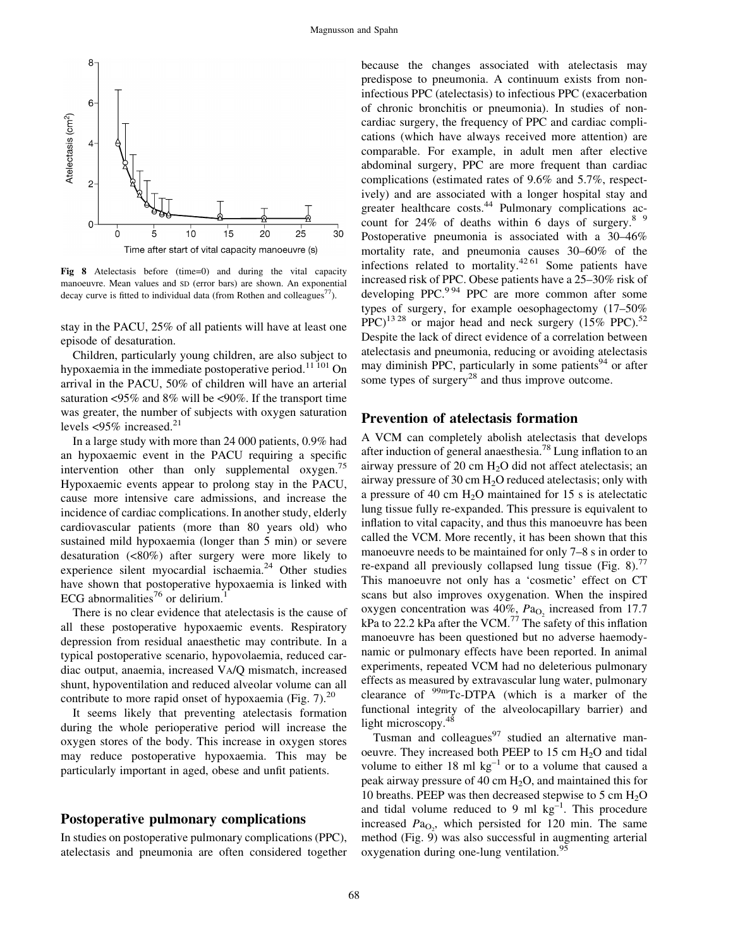

Fig 8 Atelectasis before (time=0) and during the vital capacity manoeuvre. Mean values and SD (error bars) are shown. An exponential decay curve is fitted to individual data (from Rothen and colleagues<sup>77</sup>).

stay in the PACU, 25% of all patients will have at least one episode of desaturation.

Children, particularly young children, are also subject to hypoxaemia in the immediate postoperative period.<sup>11 101</sup> On arrival in the PACU, 50% of children will have an arterial saturation <95% and 8% will be <90%. If the transport time was greater, the number of subjects with oxygen saturation levels  $<95\%$  increased.<sup>21</sup>

In a large study with more than 24 000 patients, 0.9% had an hypoxaemic event in the PACU requiring a specific intervention other than only supplemental oxygen.<sup>15</sup> Hypoxaemic events appear to prolong stay in the PACU, cause more intensive care admissions, and increase the incidence of cardiac complications. In another study, elderly cardiovascular patients (more than 80 years old) who sustained mild hypoxaemia (longer than 5 min) or severe desaturation (<80%) after surgery were more likely to experience silent myocardial ischaemia.<sup>24</sup> Other studies have shown that postoperative hypoxaemia is linked with ECG abnormalities<sup>76</sup> or delirium.<sup>1</sup>

There is no clear evidence that atelectasis is the cause of all these postoperative hypoxaemic events. Respiratory depression from residual anaesthetic may contribute. In a typical postoperative scenario, hypovolaemia, reduced cardiac output, anaemia, increased VA/Q mismatch, increased shunt, hypoventilation and reduced alveolar volume can all contribute to more rapid onset of hypoxaemia (Fig. 7).<sup>20</sup>

It seems likely that preventing atelectasis formation during the whole perioperative period will increase the oxygen stores of the body. This increase in oxygen stores may reduce postoperative hypoxaemia. This may be particularly important in aged, obese and unfit patients.

## Postoperative pulmonary complications

In studies on postoperative pulmonary complications (PPC), atelectasis and pneumonia are often considered together because the changes associated with atelectasis may predispose to pneumonia. A continuum exists from noninfectious PPC (atelectasis) to infectious PPC (exacerbation of chronic bronchitis or pneumonia). In studies of noncardiac surgery, the frequency of PPC and cardiac complications (which have always received more attention) are comparable. For example, in adult men after elective abdominal surgery, PPC are more frequent than cardiac complications (estimated rates of 9.6% and 5.7%, respectively) and are associated with a longer hospital stay and greater healthcare costs. $44$  Pulmonary complications account for  $24\%$  of deaths within 6 days of surgery.<sup>8 9</sup> Postoperative pneumonia is associated with a  $30-46\%$ mortality rate, and pneumonia causes  $30-60\%$  of the infections related to mortality.<sup>42 61</sup> Some patients have increased risk of PPC. Obese patients have a  $25-30\%$  risk of developing PPC. $^{9.94}$  PPC are more common after some types of surgery, for example oesophagectomy  $(17–50\%)$  $PPC$ <sup>13 28</sup> or major head and neck surgery (15% PPC).<sup>52</sup> Despite the lack of direct evidence of a correlation between atelectasis and pneumonia, reducing or avoiding atelectasis may diminish PPC, particularly in some patients $94$  or after some types of surgery $^{28}$  and thus improve outcome.

## Prevention of atelectasis formation

A VCM can completely abolish atelectasis that develops after induction of general anaesthesia.<sup>78</sup> Lung inflation to an airway pressure of 20 cm  $H_2O$  did not affect atelectasis; an airway pressure of 30 cm  $H_2O$  reduced atelectasis; only with a pressure of 40 cm  $H<sub>2</sub>O$  maintained for 15 s is atelectatic lung tissue fully re-expanded. This pressure is equivalent to inflation to vital capacity, and thus this manoeuvre has been called the VCM. More recently, it has been shown that this manoeuvre needs to be maintained for only 7-8 s in order to re-expand all previously collapsed lung tissue (Fig.  $8$ ).<sup>77</sup> This manoeuvre not only has a 'cosmetic' effect on CT scans but also improves oxygenation. When the inspired oxygen concentration was 40%,  $Pa<sub>O2</sub>$  increased from 17.7 kPa to 22.2 kPa after the VCM.<sup>77</sup> The safety of this inflation manoeuvre has been questioned but no adverse haemodynamic or pulmonary effects have been reported. In animal experiments, repeated VCM had no deleterious pulmonary effects as measured by extravascular lung water, pulmonary clearance of  $\frac{99m}{C}$ -DTPA (which is a marker of the functional integrity of the alveolocapillary barrier) and light microscopy.<sup>48</sup>

Tusman and colleagues $97$  studied an alternative manoeuvre. They increased both PEEP to 15 cm H<sub>2</sub>O and tidal volume to either 18 ml  $kg^{-1}$  or to a volume that caused a peak airway pressure of 40 cm  $H_2O$ , and maintained this for 10 breaths. PEEP was then decreased stepwise to 5 cm  $H_2O$ and tidal volume reduced to 9 ml  $kg^{-1}$ . This procedure increased  $Pa<sub>O<sub>2</sub></sub>$ , which persisted for 120 min. The same method (Fig. 9) was also successful in augmenting arterial oxygenation during one-lung ventilation.<sup>95</sup>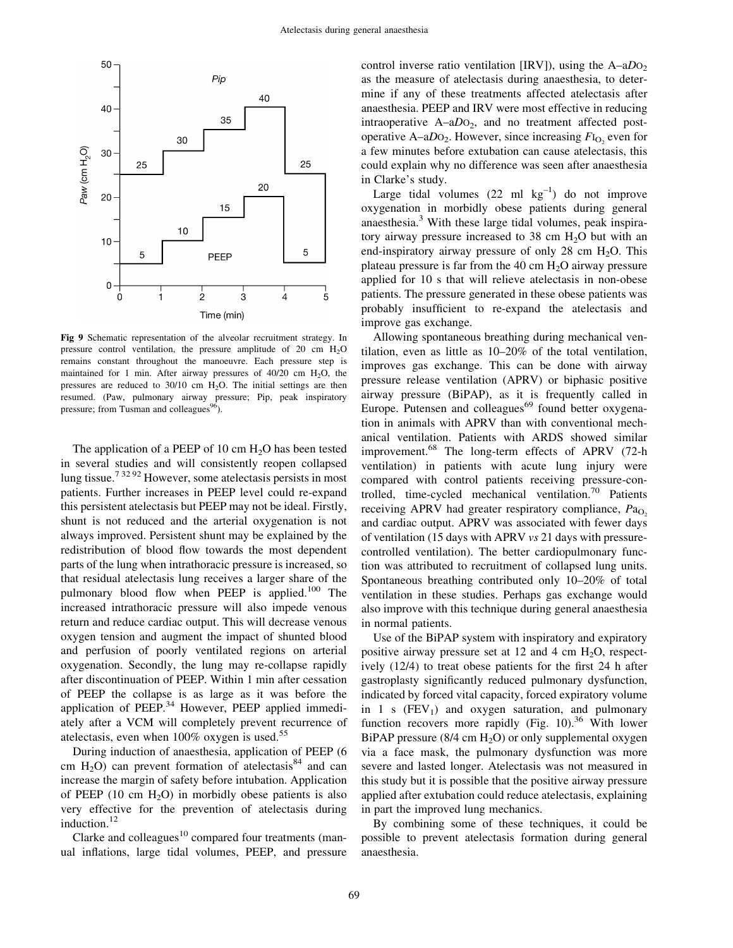

Fig 9 Schematic representation of the alveolar recruitment strategy. In pressure control ventilation, the pressure amplitude of 20 cm H<sub>2</sub>O remains constant throughout the manoeuvre. Each pressure step is maintained for 1 min. After airway pressures of  $40/20$  cm  $H<sub>2</sub>O$ , the pressures are reduced to  $30/10$  cm  $H<sub>2</sub>O$ . The initial settings are then resumed. (Paw, pulmonary airway pressure; Pip, peak inspiratory pressure; from Tusman and colleagues $96$ .

The application of a PEEP of 10 cm  $H<sub>2</sub>O$  has been tested in several studies and will consistently reopen collapsed lung tissue.<sup>73292</sup> However, some atelectasis persists in most patients. Further increases in PEEP level could re-expand this persistent atelectasis but PEEP may not be ideal. Firstly, shunt is not reduced and the arterial oxygenation is not always improved. Persistent shunt may be explained by the redistribution of blood flow towards the most dependent parts of the lung when intrathoracic pressure is increased, so that residual atelectasis lung receives a larger share of the pulmonary blood flow when PEEP is applied.<sup>100</sup> The increased intrathoracic pressure will also impede venous return and reduce cardiac output. This will decrease venous oxygen tension and augment the impact of shunted blood and perfusion of poorly ventilated regions on arterial oxygenation. Secondly, the lung may re-collapse rapidly after discontinuation of PEEP. Within 1 min after cessation of PEEP the collapse is as large as it was before the application of PEEP.<sup>34</sup> However, PEEP applied immediately after a VCM will completely prevent recurrence of atelectasis, even when 100% oxygen is used.<sup>55</sup>

During induction of anaesthesia, application of PEEP (6 cm H<sub>2</sub>O) can prevent formation of atelectasis<sup>84</sup> and can increase the margin of safety before intubation. Application of PEEP (10 cm  $H_2O$ ) in morbidly obese patients is also very effective for the prevention of atelectasis during induction.<sup>12</sup>

Clarke and colleagues $10$  compared four treatments (manual inflations, large tidal volumes, PEEP, and pressure control inverse ratio ventilation [IRV]), using the  $A-aDO<sub>2</sub>$ as the measure of atelectasis during anaesthesia, to determine if any of these treatments affected atelectasis after anaesthesia. PEEP and IRV were most effective in reducing intraoperative  $A-aDO<sub>2</sub>$ , and no treatment affected postoperative A-a $D_2$ . However, since increasing  $F_{1<sub>O<sub>2</sub>}</sub>$  even for a few minutes before extubation can cause atelectasis, this could explain why no difference was seen after anaesthesia in Clarke's study.

Large tidal volumes  $(22 \text{ ml kg}^{-1})$  do not improve oxygenation in morbidly obese patients during general anaesthesia. $3$  With these large tidal volumes, peak inspiratory airway pressure increased to  $38 \text{ cm H}_2\text{O}$  but with an end-inspiratory airway pressure of only 28 cm  $H_2O$ . This plateau pressure is far from the 40 cm  $H_2O$  airway pressure applied for 10 s that will relieve atelectasis in non-obese patients. The pressure generated in these obese patients was probably insufficient to re-expand the atelectasis and improve gas exchange.

Allowing spontaneous breathing during mechanical ventilation, even as little as  $10-20\%$  of the total ventilation, improves gas exchange. This can be done with airway pressure release ventilation (APRV) or biphasic positive airway pressure (BiPAP), as it is frequently called in Europe. Putensen and colleagues<sup>69</sup> found better oxygenation in animals with APRV than with conventional mechanical ventilation. Patients with ARDS showed similar improvement.<sup>68</sup> The long-term effects of APRV (72-h ventilation) in patients with acute lung injury were compared with control patients receiving pressure-controlled, time-cycled mechanical ventilation. $70$  Patients receiving APRV had greater respiratory compliance,  $Pa<sub>O</sub>$ . and cardiac output. APRV was associated with fewer days of ventilation (15 days with APRV vs 21 days with pressurecontrolled ventilation). The better cardiopulmonary function was attributed to recruitment of collapsed lung units. Spontaneous breathing contributed only  $10-20\%$  of total ventilation in these studies. Perhaps gas exchange would also improve with this technique during general anaesthesia in normal patients.

Use of the BiPAP system with inspiratory and expiratory positive airway pressure set at 12 and 4 cm  $H_2O$ , respectively  $(12/4)$  to treat obese patients for the first 24 h after gastroplasty significantly reduced pulmonary dysfunction, indicated by forced vital capacity, forced expiratory volume in 1 s  $(FEV_1)$  and oxygen saturation, and pulmonary function recovers more rapidly (Fig. 10).<sup>36</sup> With lower BiPAP pressure  $(8/4 \text{ cm H}_2\text{O})$  or only supplemental oxygen via a face mask, the pulmonary dysfunction was more severe and lasted longer. Atelectasis was not measured in this study but it is possible that the positive airway pressure applied after extubation could reduce atelectasis, explaining in part the improved lung mechanics.

By combining some of these techniques, it could be possible to prevent atelectasis formation during general anaesthesia.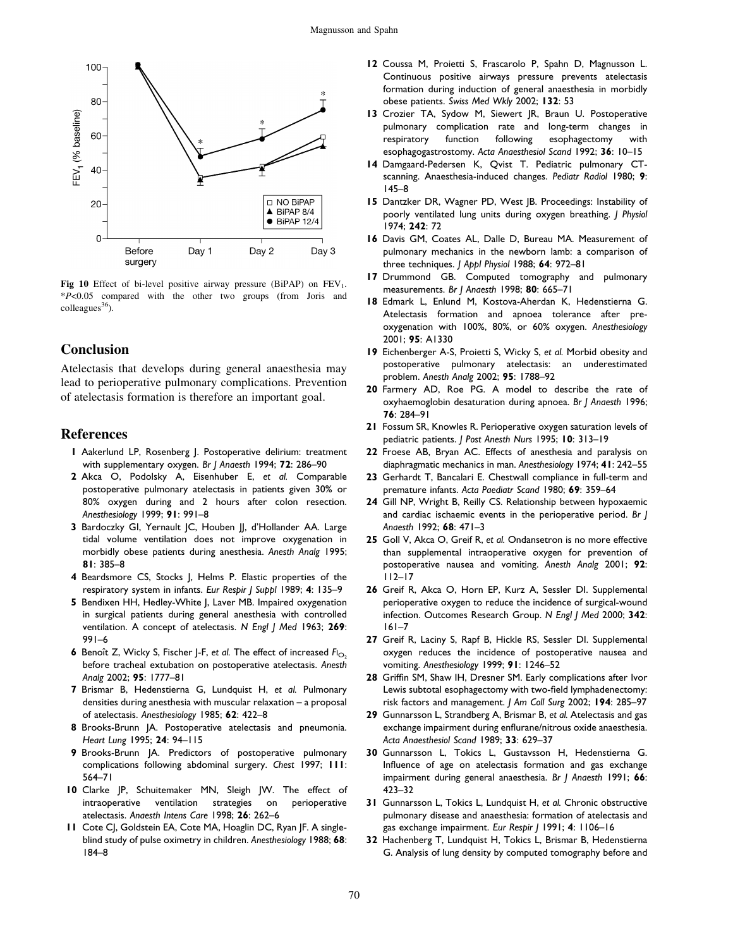

Fig 10 Effect of bi-level positive airway pressure (BiPAP) on  $FEV<sub>1</sub>$ . \*P<0.05 compared with the other two groups (from Joris and  $\text{colleagues}^{36}$ ).

## **Conclusion**

Atelectasis that develops during general anaesthesia may lead to perioperative pulmonary complications. Prevention of atelectasis formation is therefore an important goal.

#### References

- 1 Aakerlund LP, Rosenberg J. Postoperative delirium: treatment with supplementary oxygen. Br  $\vert$  Anaesth 1994; 72: 286-90
- 2 Akca O, Podolsky A, Eisenhuber E, et al. Comparable postoperative pulmonary atelectasis in patients given 30% or 80% oxygen during and 2 hours after colon resection. Anesthesiology 1999; 91: 991-8
- 3 Bardoczky GI, Yernault JC, Houben JJ, d'Hollander AA. Large tidal volume ventilation does not improve oxygenation in morbidly obese patients during anesthesia. Anesth Analg 1995; 81: 385-8
- 4 Beardsmore CS, Stocks J, Helms P. Elastic properties of the respiratory system in infants. Eur Respir J Suppl 1989; 4: 135-9
- 5 Bendixen HH, Hedley-White J, Laver MB. Impaired oxygenation in surgical patients during general anesthesia with controlled ventilation. A concept of atelectasis. N Engl | Med 1963; 269:  $991-6$
- **6** Benoît Z, Wicky S, Fischer J-F, et al. The effect of increased  $F_{1O_2}$ before tracheal extubation on postoperative atelectasis. Anesth Analg 2002; 95: 1777-81
- 7 Brismar B, Hedenstierna G, Lundquist H, et al. Pulmonary densities during anesthesia with muscular relaxation  $-$  a proposal of atelectasis. Anesthesiology 1985; 62: 422-8
- 8 Brooks-Brunn JA. Postoperative atelectasis and pneumonia. Heart Lung 1995; 24: 94-115
- 9 Brooks-Brunn JA. Predictors of postoperative pulmonary complications following abdominal surgery. Chest 1997; 111: 564±71
- 10 Clarke JP, Schuitemaker MN, Sleigh JW. The effect of intraoperative ventilation strategies on perioperative atelectasis. Anaesth Intens Care 1998; 26: 262-6
- 11 Cote CJ, Goldstein EA, Cote MA, Hoaglin DC, Ryan JF. A singleblind study of pulse oximetry in children. Anesthesiology 1988; 68: 184±8
- 12 Coussa M, Proietti S, Frascarolo P, Spahn D, Magnusson L. Continuous positive airways pressure prevents atelectasis formation during induction of general anaesthesia in morbidly obese patients. Swiss Med Wkly 2002; 132: 53
- 13 Crozier TA, Sydow M, Siewert JR, Braun U. Postoperative pulmonary complication rate and long-term changes in respiratory function following esophagectomy with esophagogastrostomy. Acta Anaesthesiol Scand 1992; 36: 10-15
- 14 Damgaard-Pedersen K, Qvist T. Pediatric pulmonary CTscanning. Anaesthesia-induced changes. Pediatr Radiol 1980; 9: 145±8
- 15 Dantzker DR, Wagner PD, West JB. Proceedings: Instability of poorly ventilated lung units during oxygen breathing. J Physiol 1974; 242: 72
- 16 Davis GM, Coates AL, Dalle D, Bureau MA. Measurement of pulmonary mechanics in the newborn lamb: a comparison of three techniques. J Appl Physiol 1988; 64: 972-81
- 17 Drummond GB. Computed tomography and pulmonary measurements. Br J Anaesth 1998; 80: 665-71
- 18 Edmark L, Enlund M, Kostova-Aherdan K, Hedenstierna G. Atelectasis formation and apnoea tolerance after preoxygenation with 100%, 80%, or 60% oxygen. Anesthesiology 2001; 95: A1330
- 19 Eichenberger A-S, Proietti S, Wicky S, et al. Morbid obesity and postoperative pulmonary atelectasis: an underestimated problem. Anesth Analg 2002; 95: 1788-92
- 20 Farmery AD, Roe PG. A model to describe the rate of oxyhaemoglobin desaturation during apnoea. Br J Anaesth 1996; 76: 284-91
- 21 Fossum SR, Knowles R. Perioperative oxygen saturation levels of pediatric patients. *| Post Anesth Nurs* 1995; 10: 313-19
- 22 Froese AB, Bryan AC. Effects of anesthesia and paralysis on diaphragmatic mechanics in man. Anesthesiology 1974; 41: 242-55
- 23 Gerhardt T, Bancalari E. Chestwall compliance in full-term and premature infants. Acta Paediatr Scand 1980; 69: 359-64
- 24 Gill NP, Wright B, Reilly CS. Relationship between hypoxaemic and cardiac ischaemic events in the perioperative period. Br J Anaesth 1992; 68: 471-3
- 25 Goll V, Akca O, Greif R, et al. Ondansetron is no more effective than supplemental intraoperative oxygen for prevention of postoperative nausea and vomiting. Anesth Analg 2001; 92: 112±17
- 26 Greif R, Akca O, Horn EP, Kurz A, Sessler DI. Supplemental perioperative oxygen to reduce the incidence of surgical-wound infection. Outcomes Research Group. N Engl J Med 2000; 342:  $161 - 7$
- 27 Greif R, Laciny S, Rapf B, Hickle RS, Sessler DI. Supplemental oxygen reduces the incidence of postoperative nausea and vomiting. Anesthesiology 1999; 91: 1246-52
- 28 Griffin SM, Shaw IH, Dresner SM. Early complications after Ivor Lewis subtotal esophagectomy with two-field lymphadenectomy: risk factors and management. J Am Coll Surg 2002; 194: 285-97
- 29 Gunnarsson L, Strandberg A, Brismar B, et al. Atelectasis and gas exchange impairment during enflurane/nitrous oxide anaesthesia. Acta Anaesthesiol Scand 1989: 33: 629-37
- 30 Gunnarsson L, Tokics L, Gustavsson H, Hedenstierna G. Influence of age on atelectasis formation and gas exchange impairment during general anaesthesia. Br J Anaesth 1991; 66: 423±32
- 31 Gunnarsson L, Tokics L, Lundquist H, et al. Chronic obstructive pulmonary disease and anaesthesia: formation of atelectasis and gas exchange impairment. Eur Respir | 1991; 4: 1106-16
- 32 Hachenberg T, Lundquist H, Tokics L, Brismar B, Hedenstierna G. Analysis of lung density by computed tomography before and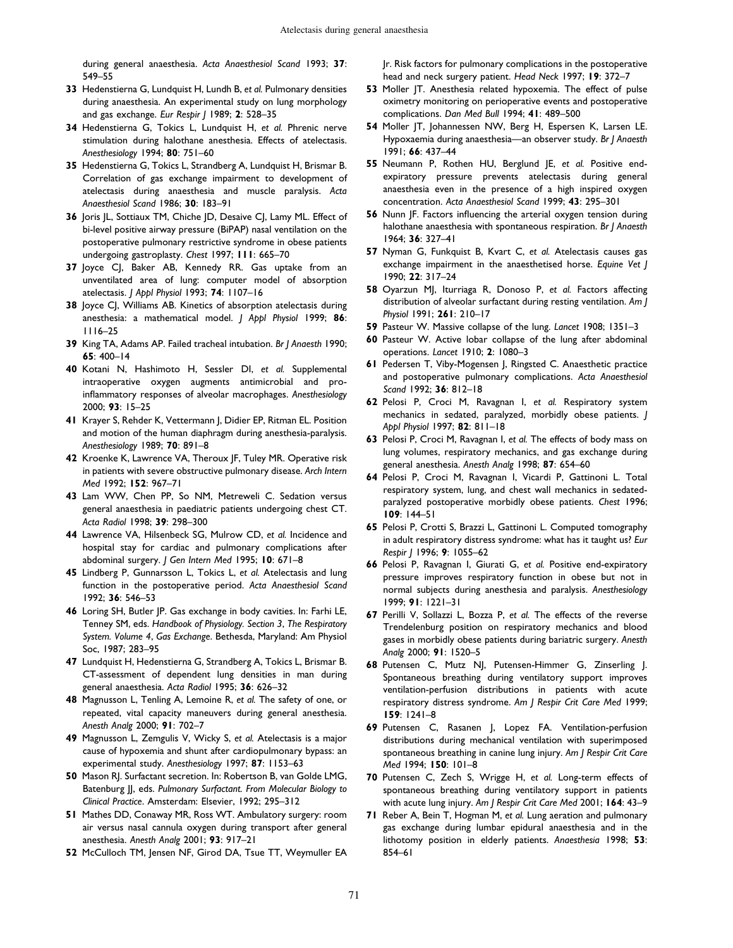during general anaesthesia. Acta Anaesthesiol Scand 1993; 37: 549-55

- 33 Hedenstierna G, Lundquist H, Lundh B, et al. Pulmonary densities during anaesthesia. An experimental study on lung morphology and gas exchange. Eur Respir J 1989; 2: 528-35
- 34 Hedenstierna G, Tokics L, Lundquist H, et al. Phrenic nerve stimulation during halothane anesthesia. Effects of atelectasis. Anesthesiology 1994; 80: 751-60
- 35 Hedenstierna G, Tokics L, Strandberg A, Lundquist H, Brismar B. Correlation of gas exchange impairment to development of atelectasis during anaesthesia and muscle paralysis. Acta Anaesthesiol Scand 1986; 30: 183-91
- 36 Joris JL, Sottiaux TM, Chiche JD, Desaive CJ, Lamy ML. Effect of bi-level positive airway pressure (BiPAP) nasal ventilation on the postoperative pulmonary restrictive syndrome in obese patients undergoing gastroplasty. Chest 1997; 111: 665-70
- 37 Joyce CJ, Baker AB, Kennedy RR. Gas uptake from an unventilated area of lung: computer model of absorption atelectasis. J Appl Physiol 1993; 74: 1107-16
- 38 Joyce CJ, Williams AB. Kinetics of absorption atelectasis during anesthesia: a mathematical model. J Appl Physiol 1999; 86: 1116±25
- 39 King TA, Adams AP. Failed tracheal intubation. Br J Anaesth 1990; 65: 400-14
- 40 Kotani N, Hashimoto H, Sessler DI, et al. Supplemental intraoperative oxygen augments antimicrobial and proinflammatory responses of alveolar macrophages. Anesthesiology 2000; 93: 15±25
- 41 Krayer S, Rehder K, Vettermann J, Didier EP, Ritman EL. Position and motion of the human diaphragm during anesthesia-paralysis. Anesthesiology 1989; 70: 891-8
- 42 Kroenke K, Lawrence VA, Theroux JF, Tuley MR. Operative risk in patients with severe obstructive pulmonary disease. Arch Intern Med 1992; 152: 967-71
- 43 Lam WW, Chen PP, So NM, Metreweli C. Sedation versus general anaesthesia in paediatric patients undergoing chest CT. Acta Radiol 1998; 39: 298-300
- 44 Lawrence VA, Hilsenbeck SG, Mulrow CD, et al. Incidence and hospital stay for cardiac and pulmonary complications after abdominal surgery. J Gen Intern Med 1995; 10: 671-8
- 45 Lindberg P, Gunnarsson L, Tokics L, et al. Atelectasis and lung function in the postoperative period. Acta Anaesthesiol Scand 1992; 36: 546-53
- 46 Loring SH, Butler JP. Gas exchange in body cavities. In: Farhi LE, Tenney SM, eds. Handbook of Physiology. Section 3, The Respiratory System. Volume 4, Gas Exchange. Bethesda, Maryland: Am Physiol Soc, 1987; 283-95
- 47 Lundquist H, Hedenstierna G, Strandberg A, Tokics L, Brismar B. CT-assessment of dependent lung densities in man during general anaesthesia. Acta Radiol 1995; 36: 626-32
- 48 Magnusson L, Tenling A, Lemoine R, et al. The safety of one, or repeated, vital capacity maneuvers during general anesthesia. Anesth Analg 2000; 91: 702-7
- 49 Magnusson L, Zemgulis V, Wicky S, et al. Atelectasis is a major cause of hypoxemia and shunt after cardiopulmonary bypass: an experimental study. Anesthesiology 1997; 87: 1153-63
- 50 Mason RJ. Surfactant secretion. In: Robertson B, van Golde LMG, Batenburg JJ, eds. Pulmonary Surfactant. From Molecular Biology to Clinical Practice. Amsterdam: Elsevier, 1992; 295-312
- 51 Mathes DD, Conaway MR, Ross WT. Ambulatory surgery: room air versus nasal cannula oxygen during transport after general anesthesia. Anesth Analg 2001; 93: 917-21
- 52 McCulloch TM, Jensen NF, Girod DA, Tsue TT, Weymuller EA

Jr. Risk factors for pulmonary complications in the postoperative head and neck surgery patient. Head Neck 1997; 19: 372-7

- 53 Moller JT. Anesthesia related hypoxemia. The effect of pulse oximetry monitoring on perioperative events and postoperative complications. Dan Med Bull 1994; 41: 489-500
- 54 Moller JT, Johannessen NW, Berg H, Espersen K, Larsen LE. Hypoxaemia during anaesthesia—an observer study. Br J Anaesth 1991; 66: 437-44
- 55 Neumann P, Rothen HU, Berglund JE, et al. Positive endexpiratory pressure prevents atelectasis during general anaesthesia even in the presence of a high inspired oxygen concentration. Acta Anaesthesiol Scand 1999; 43: 295-301
- 56 Nunn JF. Factors influencing the arterial oxygen tension during halothane anaesthesia with spontaneous respiration. Br J Anaesth 1964; 36: 327-41
- 57 Nyman G, Funkquist B, Kvart C, et al. Atelectasis causes gas exchange impairment in the anaesthetised horse. Equine Vet J 1990; 22: 317-24
- 58 Oyarzun MJ, Iturriaga R, Donoso P, et al. Factors affecting distribution of alveolar surfactant during resting ventilation. Am J Physiol 1991; 261: 210-17
- 59 Pasteur W. Massive collapse of the lung. Lancet 1908; 1351-3
- 60 Pasteur W. Active lobar collapse of the lung after abdominal operations. Lancet 1910; 2: 1080-3
- 61 Pedersen T, Viby-Mogensen J, Ringsted C. Anaesthetic practice and postoperative pulmonary complications. Acta Anaesthesiol Scand 1992; 36: 812-18
- 62 Pelosi P, Croci M, Ravagnan I, et al. Respiratory system mechanics in sedated, paralyzed, morbidly obese patients. J Appl Physiol 1997; 82: 811-18
- 63 Pelosi P, Croci M, Ravagnan I, et al. The effects of body mass on lung volumes, respiratory mechanics, and gas exchange during general anesthesia. Anesth Analg 1998; 87: 654-60
- 64 Pelosi P, Croci M, Ravagnan I, Vicardi P, Gattinoni L. Total respiratory system, lung, and chest wall mechanics in sedatedparalyzed postoperative morbidly obese patients. Chest 1996; 109: 144±51
- 65 Pelosi P, Crotti S, Brazzi L, Gattinoni L. Computed tomography in adult respiratory distress syndrome: what has it taught us? Eur Respir | 1996; 9: 1055-62
- 66 Pelosi P, Ravagnan I, Giurati G, et al. Positive end-expiratory pressure improves respiratory function in obese but not in normal subjects during anesthesia and paralysis. Anesthesiology 1999; 91: 1221–31
- 67 Perilli V, Sollazzi L, Bozza P, et al. The effects of the reverse Trendelenburg position on respiratory mechanics and blood gases in morbidly obese patients during bariatric surgery. Anesth Analg 2000; 91: 1520-5
- 68 Putensen C, Mutz NJ, Putensen-Himmer G, Zinserling J. Spontaneous breathing during ventilatory support improves ventilation-perfusion distributions in patients with acute respiratory distress syndrome. Am J Respir Crit Care Med 1999;  $159: 1241-8$
- 69 Putensen C, Rasanen J, Lopez FA. Ventilation-perfusion distributions during mechanical ventilation with superimposed spontaneous breathing in canine lung injury. Am J Respir Crit Care Med 1994; 150: 101-8
- 70 Putensen C, Zech S, Wrigge H, et al. Long-term effects of spontaneous breathing during ventilatory support in patients with acute lung injury. Am J Respir Crit Care Med 2001; 164: 43-9
- 71 Reber A, Bein T, Hogman M, et al. Lung aeration and pulmonary gas exchange during lumbar epidural anaesthesia and in the lithotomy position in elderly patients. Anaesthesia 1998; 53: 854±61